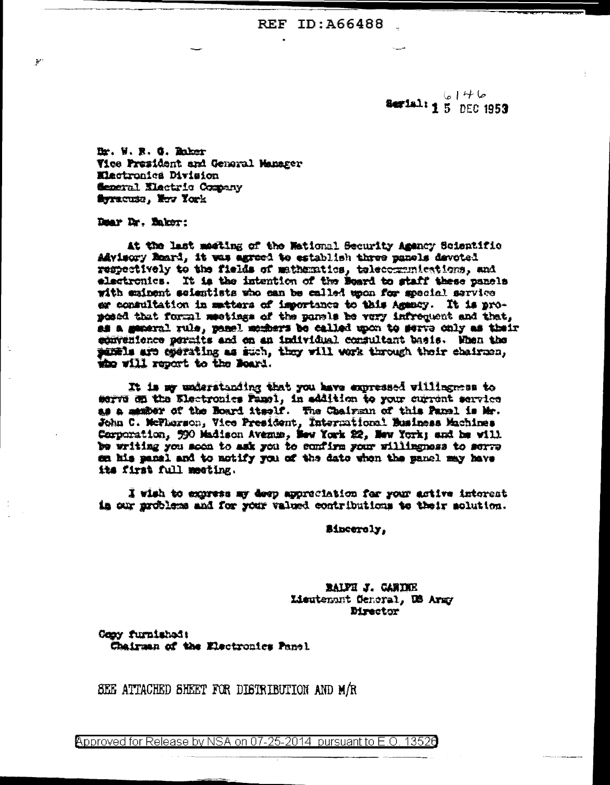$6146$ Serial: 1 5 DEC 1953

Dr. W. R. G. Raker Vice President and General Manager Elactronica Division Seperal Electric Company flerracuse. Here York

Dear Dr. Eaker:

اللغ

At the last meeting of the Wational Security Amency Scientific Advisory Reard, it was agreed to establish three panels devoted respectively to the fields of mathematics, telecommunications, and electronics. It is the intention of the Beard to staff these panels with eminent scientists who can be called upon for special service er consultation in matters of importance to this Agency. It is proposed that forml meetings of the panels be very infrequent and that, as a mearal rule, panel members be called upon to serve only as their convenience permits and on an individual consultant basis. When the punds are operating as such, they will work through their chairmen, who will report to the Noard.

It is my understanding that you have expressed villingmens to serve on the Electronics Pamel, in addition to your current service as a manber of the Board itself. The Chairman of this Panel is Mr. John C. McThorson, Vice President, International Business Machines<br>Corporation, 590 Madison Avenue, New York 22, New York; and he will be writing you soon to ask you to confirm your willingness to serve en his panel and to notify you of the date when the panel may have its first full meeting.

I wish to express my deep appreciation for your active interest in our mrobless and for your valued contributions to their solution.

Sincerely,

RALPH J. CANIDER Lieutenant General, US Army **Director** 

Gooy furnished: Chairman of the Electronics Panel.

SEE ATTACHED SHEET FOR DISTRIBUTION AND M/R

Approved for Release by NSA on 07-25-2014 pursuant to E.O. 13526